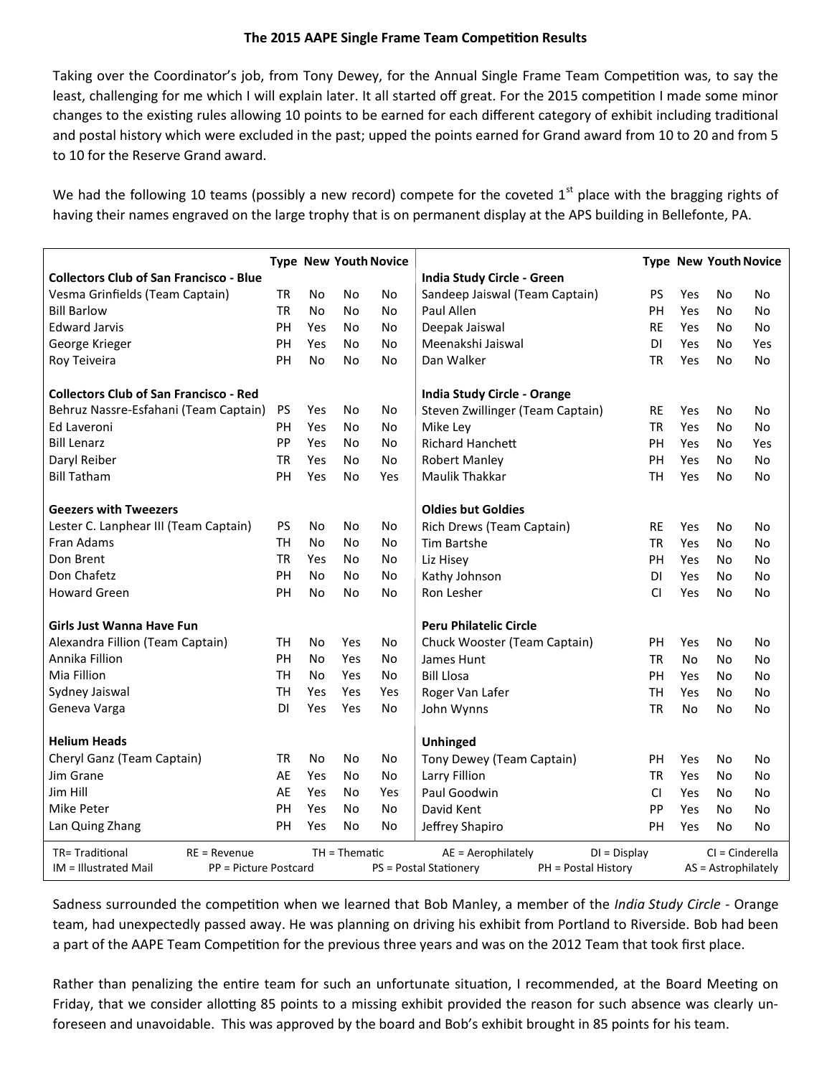## **The 2015 AAPE Single Frame Team Competition Results**

Taking over the Coordinator's job, from Tony Dewey, for the Annual Single Frame Team Competition was, to say the least, challenging for me which I will explain later. It all started off great. For the 2015 competition I made some minor changes to the existing rules allowing 10 points to be earned for each different category of exhibit including traditional and postal history which were excluded in the past; upped the points earned for Grand award from 10 to 20 and from 5 to 10 for the Reserve Grand award.

We had the following 10 teams (possibly a new record) compete for the coveted  $1<sup>st</sup>$  place with the bragging rights of having their names engraved on the large trophy that is on permanent display at the APS building in Bellefonte, PA.

|                                                                                 |           |                |           | <b>Type New Youth Novice</b> |                                      |                     |     |                   | <b>Type New Youth Novice</b> |  |
|---------------------------------------------------------------------------------|-----------|----------------|-----------|------------------------------|--------------------------------------|---------------------|-----|-------------------|------------------------------|--|
| <b>Collectors Club of San Francisco - Blue</b>                                  |           |                |           |                              | India Study Circle - Green           |                     |     |                   |                              |  |
| Vesma Grinfields (Team Captain)                                                 | <b>TR</b> | <b>No</b>      | No        | No                           | Sandeep Jaiswal (Team Captain)       | <b>PS</b>           | Yes | No                | No                           |  |
| <b>Bill Barlow</b>                                                              | <b>TR</b> | N <sub>o</sub> | No.       | No                           | Paul Allen                           | PH                  | Yes | No                | No                           |  |
| <b>Edward Jarvis</b>                                                            | PH        | Yes            | No.       | No                           | Deepak Jaiswal                       | <b>RE</b>           | Yes | No                | No                           |  |
| George Krieger                                                                  | PH        | Yes            | No.       | No                           | Meenakshi Jaiswal                    | <b>DI</b>           | Yes | No                | Yes                          |  |
| Roy Teiveira                                                                    | PH        | <b>No</b>      | No        | <b>No</b>                    | Dan Walker                           | <b>TR</b>           | Yes | No                | <b>No</b>                    |  |
| <b>Collectors Club of San Francisco - Red</b>                                   |           |                |           |                              | <b>India Study Circle - Orange</b>   |                     |     |                   |                              |  |
| Behruz Nassre-Esfahani (Team Captain)                                           | PS        | Yes            | No        | No                           | Steven Zwillinger (Team Captain)     | <b>RE</b>           | Yes | No                | No                           |  |
| Ed Laveroni                                                                     | PH        | Yes            | No        | No                           | Mike Ley                             | TR                  | Yes | No                | No                           |  |
| <b>Bill Lenarz</b>                                                              | PP        | Yes            | No        | No                           | <b>Richard Hanchett</b>              | PH                  | Yes | No                | Yes                          |  |
| Daryl Reiber                                                                    | <b>TR</b> | Yes            | No        | <b>No</b>                    | <b>Robert Manley</b>                 | PH                  | Yes | No                | No                           |  |
| <b>Bill Tatham</b>                                                              | PH        | Yes            | <b>No</b> | Yes                          | Maulik Thakkar                       | <b>TH</b>           | Yes | No                | No                           |  |
| <b>Geezers with Tweezers</b>                                                    |           |                |           |                              | <b>Oldies but Goldies</b>            |                     |     |                   |                              |  |
| Lester C. Lanphear III (Team Captain)                                           | PS        | No             | No        | No                           | Rich Drews (Team Captain)            | <b>RE</b>           | Yes | No                | No                           |  |
| Fran Adams                                                                      | TН        | No             | No.       | No                           | Tim Bartshe                          | TR                  | Yes | No                | <b>No</b>                    |  |
| Don Brent                                                                       | <b>TR</b> | Yes            | No        | No                           | Liz Hisey                            | PH                  | Yes | No                | No                           |  |
| Don Chafetz                                                                     | PH        | No             | No        | No                           | Kathy Johnson                        | <b>DI</b>           | Yes | No                | No                           |  |
| <b>Howard Green</b>                                                             | PH        | No             | No        | No                           | Ron Lesher                           | <b>CI</b>           | Yes | No                | No                           |  |
| Girls Just Wanna Have Fun                                                       |           |                |           |                              | <b>Peru Philatelic Circle</b>        |                     |     |                   |                              |  |
| Alexandra Fillion (Team Captain)                                                | TН        | N <sub>o</sub> | Yes       | No                           | Chuck Wooster (Team Captain)         | PH                  | Yes | No                | No                           |  |
| Annika Fillion                                                                  | PH        | No             | Yes       | No                           | James Hunt                           | <b>TR</b>           | No  | No                | No                           |  |
| Mia Fillion                                                                     | <b>TH</b> | No             | Yes       | No                           | <b>Bill Llosa</b>                    | PH                  | Yes | No                | No                           |  |
| Sydney Jaiswal                                                                  | <b>TH</b> | Yes            | Yes       | Yes                          | Roger Van Lafer                      |                     | Yes | No                | No                           |  |
| Geneva Varga                                                                    | <b>DI</b> | Yes            | Yes       | No                           | John Wynns                           | <b>TR</b>           | No  | No                | No                           |  |
| <b>Helium Heads</b>                                                             |           |                |           |                              | Unhinged                             |                     |     |                   |                              |  |
| Cheryl Ganz (Team Captain)                                                      | <b>TR</b> | No             | No        | No                           | Tony Dewey (Team Captain)            | PH                  | Yes | No                | No                           |  |
| Jim Grane                                                                       | AE        | Yes            | No        | No                           | Larry Fillion                        | TR                  | Yes | No                | No                           |  |
| Jim Hill                                                                        | AE        | Yes            | No        | Yes                          | Paul Goodwin                         | CI                  | Yes | No                | No                           |  |
| Mike Peter                                                                      | PH        | Yes            | No.       | No                           | David Kent                           | PP                  | Yes | No                | No                           |  |
| Lan Quing Zhang                                                                 | PH        | Yes            | No.       | No                           | Jeffrey Shapiro                      | PH                  | Yes | No                | No                           |  |
| TR=Traditional<br>$TH = Thematic$<br>$RE = Revenue$                             |           |                |           |                              | AE = Aerophilately<br>$DI = Display$ |                     |     | $CI = Cinderella$ |                              |  |
| IM = Illustrated Mail<br>PP = Picture Postcard<br><b>PS = Postal Stationery</b> |           |                |           |                              | PH = Postal History                  | AS = Astrophilately |     |                   |                              |  |

Sadness surrounded the competition when we learned that Bob Manley, a member of the *India Study Circle* - Orange team, had unexpectedly passed away. He was planning on driving his exhibit from Portland to Riverside. Bob had been a part of the AAPE Team Competition for the previous three years and was on the 2012 Team that took first place.

Rather than penalizing the entire team for such an unfortunate situation, I recommended, at the Board Meeting on Friday, that we consider allotting 85 points to a missing exhibit provided the reason for such absence was clearly unforeseen and unavoidable. This was approved by the board and Bob's exhibit brought in 85 points for his team.